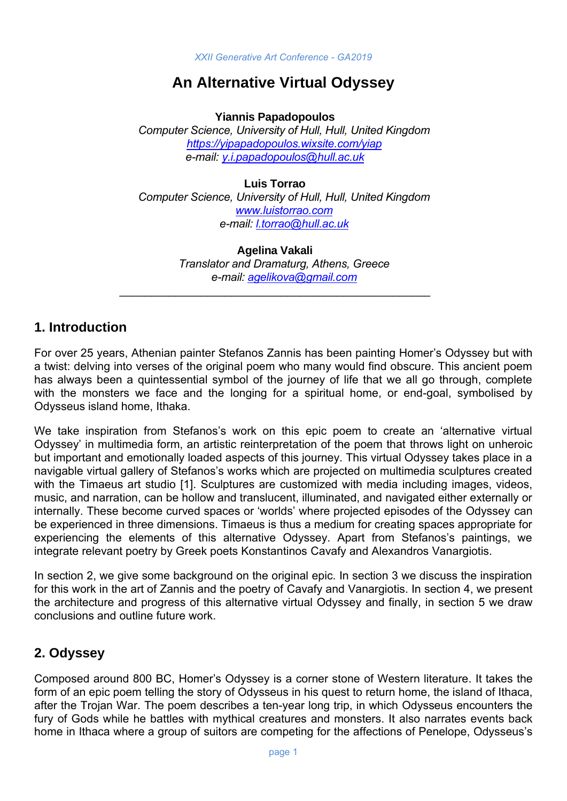# **An Alternative Virtual Odyssey**

**Yiannis Papadopoulos**

*Computer Science, University of Hull, Hull, United Kingdom <https://yipapadopoulos.wixsite.com/yiap> e-mail: [y.i.papadopoulos@hull.ac.uk](mailto:y.i.papadopoulos@hull.ac.uk)*

**Luis Torrao** *Computer Science, University of Hull, Hull, United Kingdom [www.luistorrao.com](http://www.luistorrao.com/) e-mail: [l.torrao@hull.ac.uk](mailto:l.torrao@hull.ac.uk)*

> **Agelina Vakali** *Translator and Dramaturg, Athens, Greece e-mail: [agelikova@gmail.com](mailto:agelikova@gmail.com)*

\_\_\_\_\_\_\_\_\_\_\_\_\_\_\_\_\_\_\_\_\_\_\_\_\_\_\_\_\_\_\_\_\_\_\_\_\_\_\_\_\_\_\_\_\_\_\_\_\_\_

# **1. Introduction**

For over 25 years, Athenian painter Stefanos Zannis has been painting Homer's Odyssey but with a twist: delving into verses of the original poem who many would find obscure. This ancient poem has always been a quintessential symbol of the journey of life that we all go through, complete with the monsters we face and the longing for a spiritual home, or end-goal, symbolised by Odysseus island home, Ithaka.

We take inspiration from Stefanos's work on this epic poem to create an 'alternative virtual Odyssey' in multimedia form, an artistic reinterpretation of the poem that throws light on unheroic but important and emotionally loaded aspects of this journey. This virtual Odyssey takes place in a navigable virtual gallery of Stefanos's works which are projected on multimedia sculptures created with the Timaeus art studio [1]. Sculptures are customized with media including images, videos, music, and narration, can be hollow and translucent, illuminated, and navigated either externally or internally. These become curved spaces or 'worlds' where projected episodes of the Odyssey can be experienced in three dimensions. Timaeus is thus a medium for creating spaces appropriate for experiencing the elements of this alternative Odyssey. Apart from Stefanos's paintings, we integrate relevant poetry by Greek poets Konstantinos Cavafy and Alexandros Vanargiotis.

In section 2, we give some background on the original epic. In section 3 we discuss the inspiration for this work in the art of Zannis and the poetry of Cavafy and Vanargiotis. In section 4, we present the architecture and progress of this alternative virtual Odyssey and finally, in section 5 we draw conclusions and outline future work.

# **2. Odyssey**

Composed around 800 BC, Homer's Odyssey is a corner stone of Western literature. It takes the form of an epic poem telling the story of Odysseus in his quest to return home, the island of Ithaca, after the Trojan War. The poem describes a ten-year long trip, in which Odysseus encounters the fury of Gods while he battles with mythical creatures and monsters. It also narrates events back home in Ithaca where a group of suitors are competing for the affections of Penelope, Odysseus's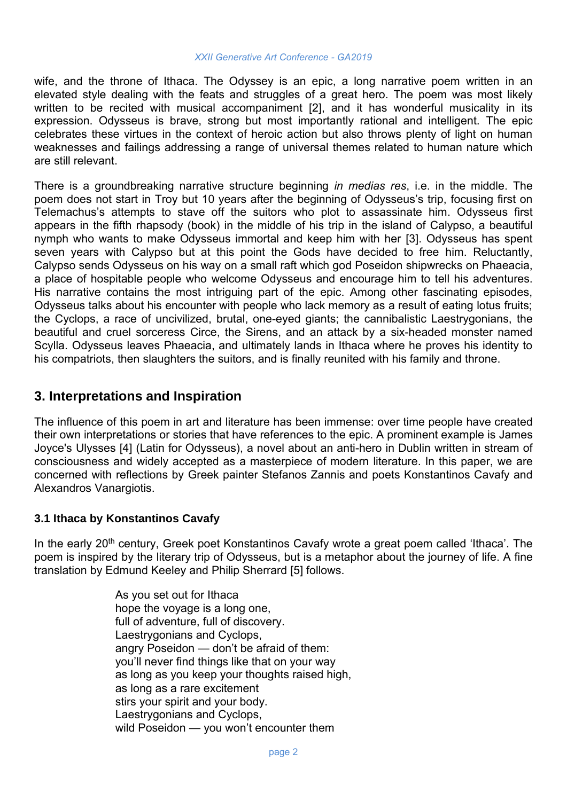wife, and the throne of Ithaca. The Odyssey is an epic, a long narrative poem written in an elevated style dealing with the feats and struggles of a great hero. The poem was most likely written to be recited with musical accompaniment [2], and it has wonderful musicality in its expression. Odysseus is brave, strong but most importantly rational and intelligent. The epic celebrates these virtues in the context of heroic action but also throws plenty of light on human weaknesses and failings addressing a range of universal themes related to human nature which are still relevant.

There is a groundbreaking narrative structure beginning *in medias res*, i.e. in the middle. The poem does not start in Troy but 10 years after the beginning of Odysseus's trip, focusing first on Telemachus's attempts to stave off the suitors who plot to assassinate him. Odysseus first appears in the fifth rhapsody (book) in the middle of his trip in the island of Calypso, a beautiful nymph who wants to make Odysseus immortal and keep him with her [3]. Odysseus has spent seven years with Calypso but at this point the Gods have decided to free him. Reluctantly, Calypso sends Odysseus on his way on a small raft which god Poseidon shipwrecks on Phaeacia, a place of hospitable people who welcome Odysseus and encourage him to tell his adventures. His narrative contains the most intriguing part of the epic. Among other fascinating episodes, Odysseus talks about his encounter with people who lack memory as a result of eating lotus fruits; the Cyclops, a race of uncivilized, brutal, one-eyed giants; the cannibalistic Laestrygonians, the beautiful and cruel sorceress Circe, the Sirens, and an attack by a six-headed monster named Scylla. Odysseus leaves Phaeacia, and ultimately lands in Ithaca where he proves his identity to his compatriots, then slaughters the suitors, and is finally reunited with his family and throne.

# **3. Interpretations and Inspiration**

The influence of this poem in art and literature has been immense: over time people have created their own interpretations or stories that have references to the epic. A prominent example is James Joyce's Ulysses [4] (Latin for Odysseus), a novel about an anti-hero in Dublin written in stream of consciousness and widely accepted as a masterpiece of modern literature. In this paper, we are concerned with reflections by Greek painter Stefanos Zannis and poets Konstantinos Cavafy and Alexandros Vanargiotis.

## **3.1 Ithaca by Konstantinos Cavafy**

In the early 20<sup>th</sup> century, Greek poet Konstantinos Cavafy wrote a great poem called 'Ithaca'. The poem is inspired by the literary trip of Odysseus, but is a metaphor about the journey of life. A fine translation by Edmund Keeley and Philip Sherrard [5] follows.

> As you set out for Ithaca hope the voyage is a long one, full of adventure, full of discovery. Laestrygonians and Cyclops, angry Poseidon — don't be afraid of them: you'll never find things like that on your way as long as you keep your thoughts raised high, as long as a rare excitement stirs your spirit and your body. Laestrygonians and Cyclops, wild Poseidon — you won't encounter them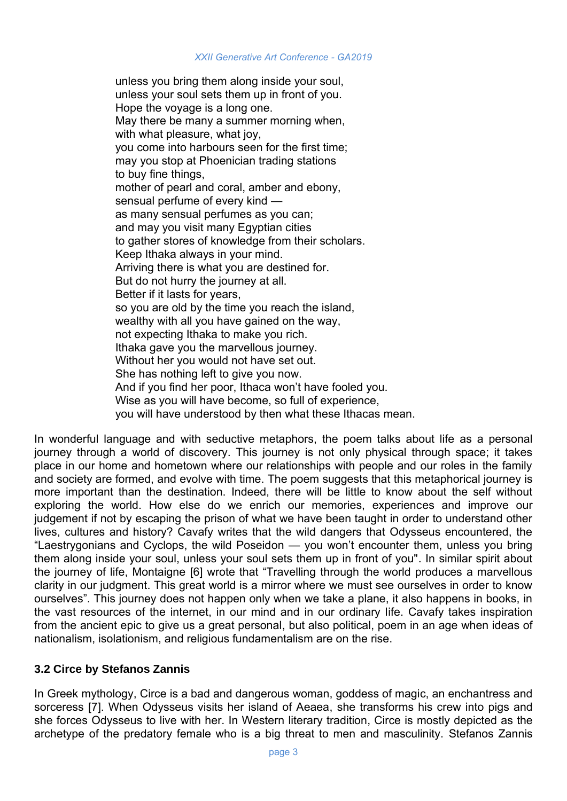unless you bring them along inside your soul, unless your soul sets them up in front of you. Hope the voyage is a long one. May there be many a summer morning when, with what pleasure, what joy, you come into harbours seen for the first time; may you stop at Phoenician trading stations to buy fine things, mother of pearl and coral, amber and ebony, sensual perfume of every kind as many sensual perfumes as you can; and may you visit many Egyptian cities to gather stores of knowledge from their scholars. Keep Ithaka always in your mind. Arriving there is what you are destined for. But do not hurry the journey at all. Better if it lasts for years, so you are old by the time you reach the island, wealthy with all you have gained on the way, not expecting Ithaka to make you rich. Ithaka gave you the marvellous journey. Without her you would not have set out. She has nothing left to give you now. And if you find her poor, Ithaca won't have fooled you. Wise as you will have become, so full of experience, you will have understood by then what these Ithacas mean.

In wonderful language and with seductive metaphors, the poem talks about life as a personal journey through a world of discovery. This journey is not only physical through space; it takes place in our home and hometown where our relationships with people and our roles in the family and society are formed, and evolve with time. The poem suggests that this metaphorical journey is more important than the destination. Indeed, there will be little to know about the self without exploring the world. How else do we enrich our memories, experiences and improve our judgement if not by escaping the prison of what we have been taught in order to understand other lives, cultures and history? Cavafy writes that the wild dangers that Odysseus encountered, the "Laestrygonians and Cyclops, the wild Poseidon — you won't encounter them, unless you bring them along inside your soul, unless your soul sets them up in front of you". In similar spirit about the journey of life, Montaigne [6] wrote that "Travelling through the world produces a marvellous clarity in our judgment. This great world is a mirror where we must see ourselves in order to know ourselves". This journey does not happen only when we take a plane, it also happens in books, in the vast resources of the internet, in our mind and in our ordinary life. Cavafy takes inspiration from the ancient epic to give us a great personal, but also political, poem in an age when ideas of nationalism, isolationism, and religious fundamentalism are on the rise.

## **3.2 Circe by Stefanos Zannis**

In Greek mythology, Circe is a bad and dangerous woman, goddess of magic, an enchantress and sorceress [7]. When Odysseus visits her island of Aeaea, she transforms his crew into pigs and she forces Odysseus to live with her. In Western literary tradition, Circe is mostly depicted as the archetype of the predatory female who is a big threat to men and masculinity. Stefanos Zannis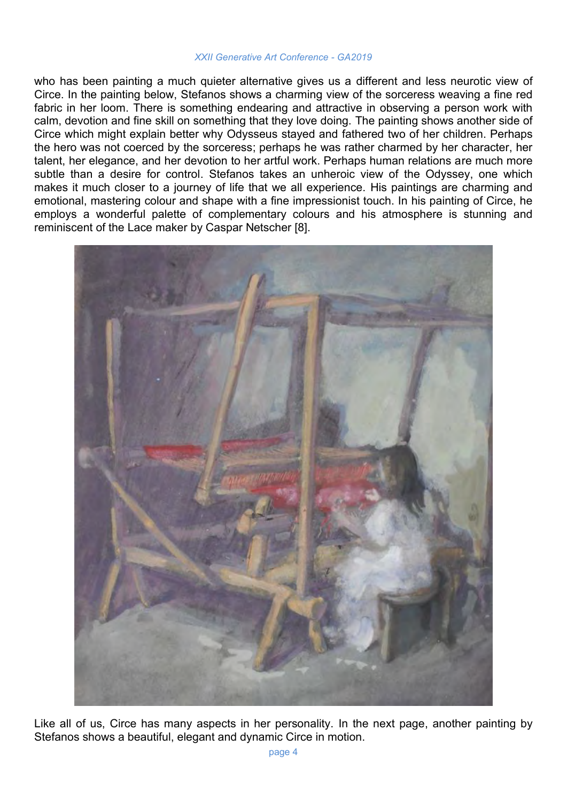who has been painting a much quieter alternative gives us a different and less neurotic view of Circe. In the painting below, Stefanos shows a charming view of the sorceress weaving a fine red fabric in her loom. There is something endearing and attractive in observing a person work with calm, devotion and fine skill on something that they love doing. The painting shows another side of Circe which might explain better why Odysseus stayed and fathered two of her children. Perhaps the hero was not coerced by the sorceress; perhaps he was rather charmed by her character, her talent, her elegance, and her devotion to her artful work. Perhaps human relations are much more subtle than a desire for control. Stefanos takes an unheroic view of the Odyssey, one which makes it much closer to a journey of life that we all experience. His paintings are charming and emotional, mastering colour and shape with a fine impressionist touch. In his painting of Circe, he employs a wonderful palette of complementary colours and his atmosphere is stunning and reminiscent of the Lace maker by Caspar Netscher [8].



Like all of us, Circe has many aspects in her personality. In the next page, another painting by Stefanos shows a beautiful, elegant and dynamic Circe in motion.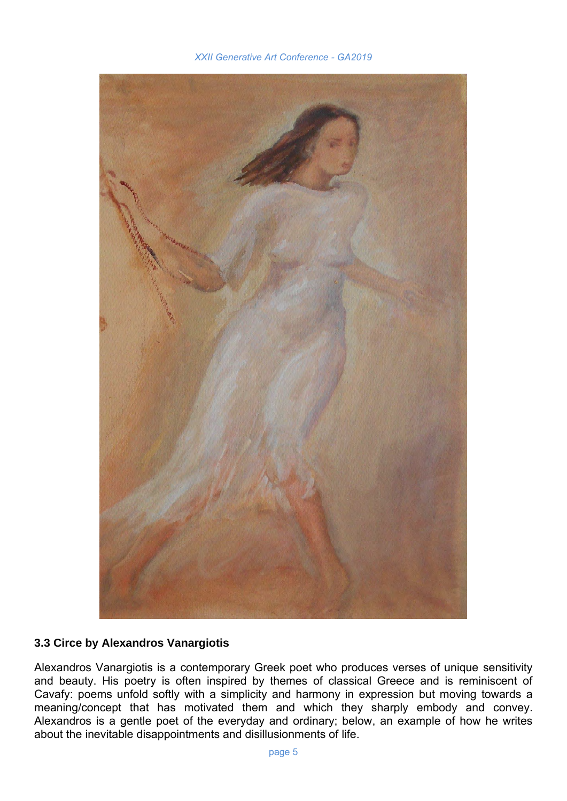

## **3.3 Circe by Alexandros Vanargiotis**

Alexandros Vanargiotis is a contemporary Greek poet who produces verses of unique sensitivity and beauty. His poetry is often inspired by themes of classical Greece and is reminiscent of Cavafy: poems unfold softly with a simplicity and harmony in expression but moving towards a meaning/concept that has motivated them and which they sharply embody and convey. Alexandros is a gentle poet of the everyday and ordinary; below, an example of how he writes about the inevitable disappointments and disillusionments of life.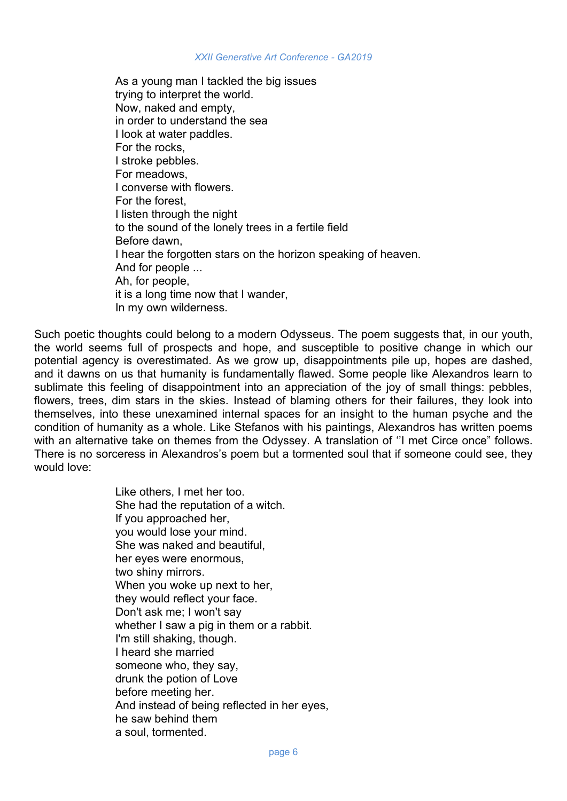As a young man I tackled the big issues trying to interpret the world. Now, naked and empty, in order to understand the sea I look at water paddles. For the rocks, I stroke pebbles. For meadows, I converse with flowers. For the forest, I listen through the night to the sound of the lonely trees in a fertile field Before dawn, I hear the forgotten stars on the horizon speaking of heaven. And for people ... Ah, for people, it is a long time now that I wander, In my own wilderness.

Such poetic thoughts could belong to a modern Odysseus. The poem suggests that, in our youth, the world seems full of prospects and hope, and susceptible to positive change in which our potential agency is overestimated. As we grow up, disappointments pile up, hopes are dashed, and it dawns on us that humanity is fundamentally flawed. Some people like Alexandros learn to sublimate this feeling of disappointment into an appreciation of the joy of small things: pebbles, flowers, trees, dim stars in the skies. Instead of blaming others for their failures, they look into themselves, into these unexamined internal spaces for an insight to the human psyche and the condition of humanity as a whole. Like Stefanos with his paintings, Alexandros has written poems with an alternative take on themes from the Odyssey. A translation of ''I met Circe once" follows. There is no sorceress in Alexandros's poem but a tormented soul that if someone could see, they would love:

> Like others, I met her too. She had the reputation of a witch. If you approached her, you would lose your mind. She was naked and beautiful, her eyes were enormous, two shiny mirrors. When you woke up next to her, they would reflect your face. Don't ask me; I won't say whether I saw a pig in them or a rabbit. I'm still shaking, though. I heard she married someone who, they say, drunk the potion of Love before meeting her. And instead of being reflected in her eyes, he saw behind them a soul, tormented.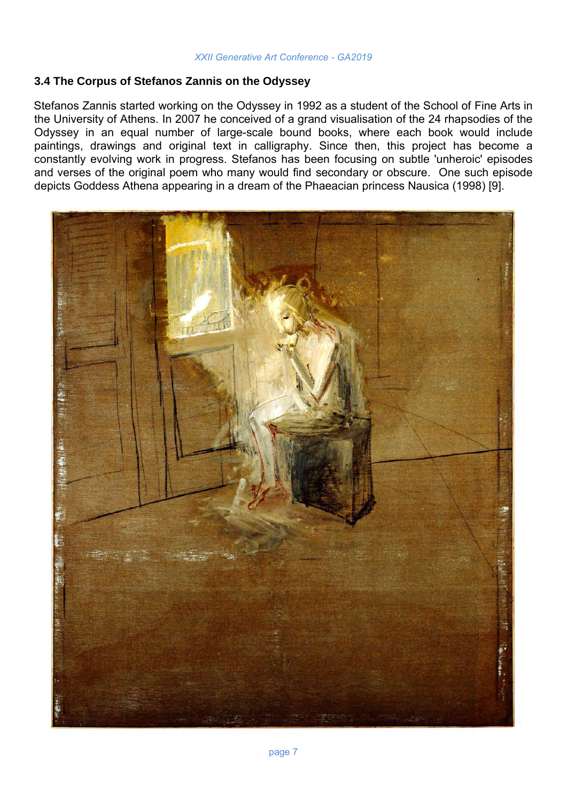### **3.4 The Corpus of Stefanos Zannis on the Odyssey**

Stefanos Zannis started working on the Odyssey in 1992 as a student of the School of Fine Arts in the University of Athens. In 2007 he conceived of a grand visualisation of the 24 rhapsodies of the Odyssey in an equal number of large-scale bound books, where each book would include paintings, drawings and original text in calligraphy. Since then, this project has become a constantly evolving work in progress. Stefanos has been focusing on subtle 'unheroic' episodes and verses of the original poem who many would find secondary or obscure. One such episode depicts Goddess Athena appearing in a dream of the Phaeacian princess Nausica (1998) [9].

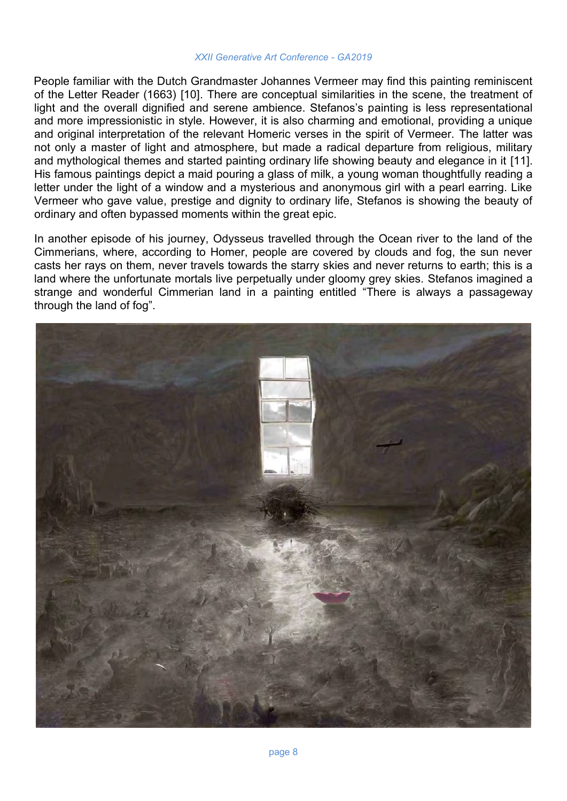People familiar with the Dutch Grandmaster Johannes Vermeer may find this painting reminiscent of the Letter Reader (1663) [10]. There are conceptual similarities in the scene, the treatment of light and the overall dignified and serene ambience. Stefanos's painting is less representational and more impressionistic in style. However, it is also charming and emotional, providing a unique and original interpretation of the relevant Homeric verses in the spirit of Vermeer. The latter was not only a master of light and atmosphere, but made a radical departure from religious, military and mythological themes and started painting ordinary life showing beauty and elegance in it [11]. His famous paintings depict a maid pouring a glass of milk, a young woman thoughtfully reading a letter under the light of a window and a mysterious and anonymous girl with a pearl earring. Like Vermeer who gave value, prestige and dignity to ordinary life, Stefanos is showing the beauty of ordinary and often bypassed moments within the great epic.

In another episode of his journey, Odysseus travelled through the Ocean river to the land of the Cimmerians, where, according to Homer, people are covered by clouds and fog, the sun never casts her rays on them, never travels towards the starry skies and never returns to earth; this is a land where the unfortunate mortals live perpetually under gloomy grey skies. Stefanos imagined a strange and wonderful Cimmerian land in a painting entitled "There is always a passageway through the land of fog".

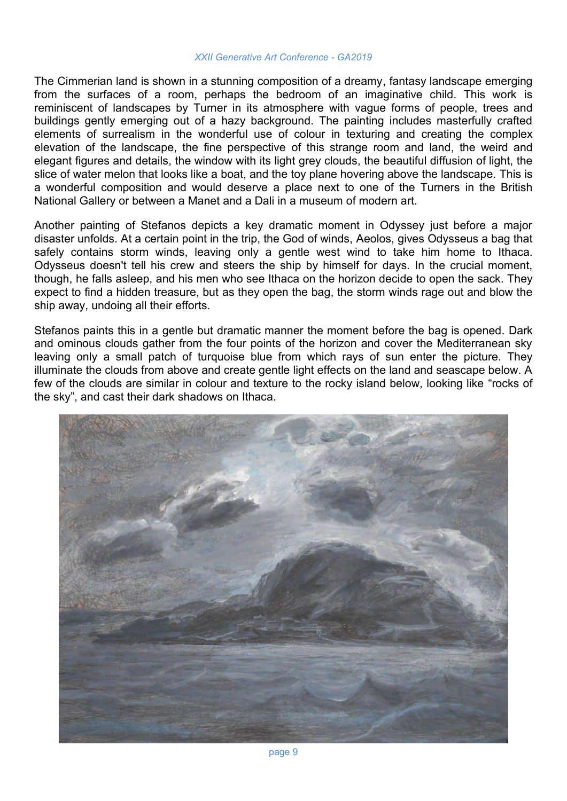The Cimmerian land is shown in a stunning composition of a dreamy, fantasy landscape emerging from the surfaces of a room, perhaps the bedroom of an imaginative child. This work is reminiscent of landscapes by Turner in its atmosphere with vague forms of people, trees and buildings gently emerging out of a hazy background. The painting includes masterfully crafted elements of surrealism in the wonderful use of colour in texturing and creating the complex elevation of the landscape, the fine perspective of this strange room and land, the weird and elegant figures and details, the window with its light grey clouds, the beautiful diffusion of light, the slice of water melon that looks like a boat, and the toy plane hovering above the landscape. This is a wonderful composition and would deserve a place next to one of the Turners in the British National Gallery or between a Manet and a Dali in a museum of modern art.

Another painting of Stefanos depicts a key dramatic moment in Odyssey just before a major disaster unfolds. At a certain point in the trip, the God of winds, Aeolos, gives Odysseus a bag that safely contains storm winds, leaving only a gentle west wind to take him home to Ithaca. Odysseus doesn't tell his crew and steers the ship by himself for days. In the crucial moment, though, he falls asleep, and his men who see Ithaca on the horizon decide to open the sack. They expect to find a hidden treasure, but as they open the bag, the storm winds rage out and blow the ship away, undoing all their efforts.

Stefanos paints this in a gentle but dramatic manner the moment before the bag is opened. Dark and ominous clouds gather from the four points of the horizon and cover the Mediterranean sky leaving only a small patch of turquoise blue from which rays of sun enter the picture. They illuminate the clouds from above and create gentle light effects on the land and seascape below. A few of the clouds are similar in colour and texture to the rocky island below, looking like "rocks of the sky", and cast their dark shadows on Ithaca.

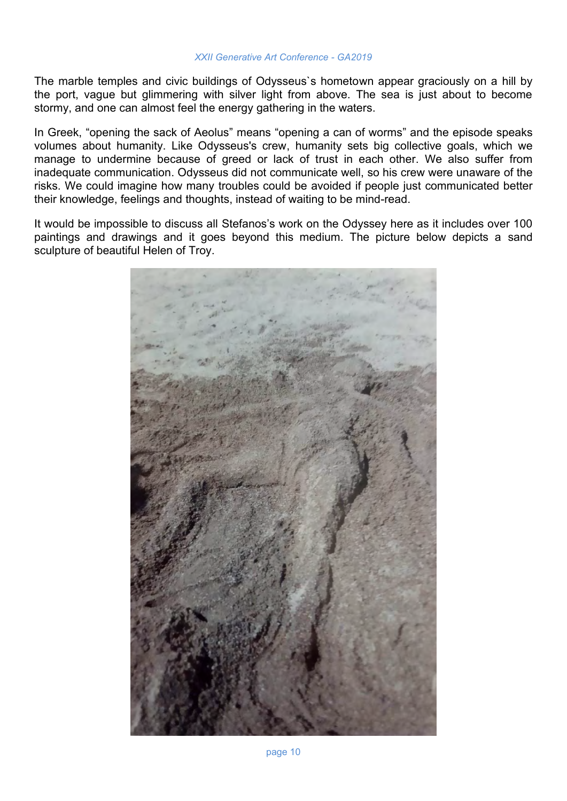The marble temples and civic buildings of Odysseus`s hometown appear graciously on a hill by the port, vague but glimmering with silver light from above. The sea is just about to become stormy, and one can almost feel the energy gathering in the waters.

In Greek, "opening the sack of Aeolus" means "opening a can of worms" and the episode speaks volumes about humanity. Like Odysseus's crew, humanity sets big collective goals, which we manage to undermine because of greed or lack of trust in each other. We also suffer from inadequate communication. Odysseus did not communicate well, so his crew were unaware of the risks. We could imagine how many troubles could be avoided if people just communicated better their knowledge, feelings and thoughts, instead of waiting to be mind-read.

It would be impossible to discuss all Stefanos's work on the Odyssey here as it includes over 100 paintings and drawings and it goes beyond this medium. The picture below depicts a sand sculpture of beautiful Helen of Troy.

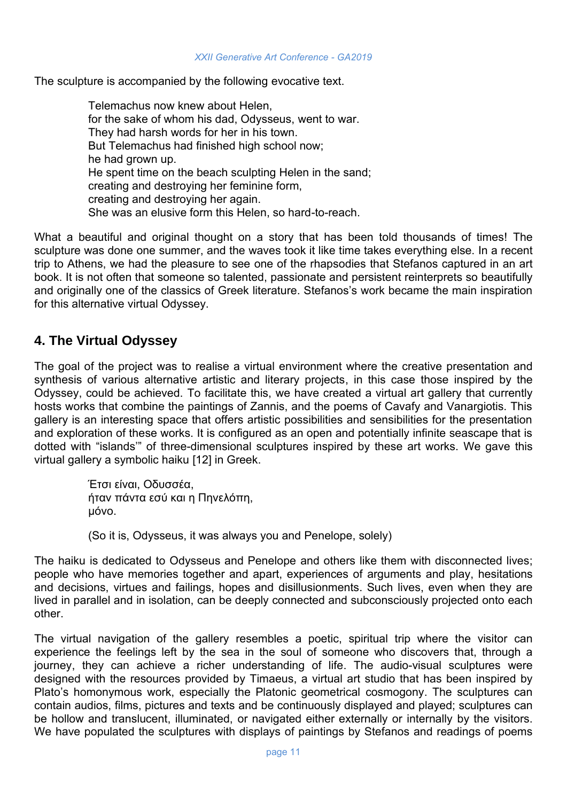The sculpture is accompanied by the following evocative text.

Telemachus now knew about Helen, for the sake of whom his dad, Odysseus, went to war. They had harsh words for her in his town. But Telemachus had finished high school now; he had grown up. He spent time on the beach sculpting Helen in the sand; creating and destroying her feminine form, creating and destroying her again. She was an elusive form this Helen, so hard-to-reach.

What a beautiful and original thought on a story that has been told thousands of times! The sculpture was done one summer, and the waves took it like time takes everything else. In a recent trip to Athens, we had the pleasure to see one of the rhapsodies that Stefanos captured in an art book. It is not often that someone so talented, passionate and persistent reinterprets so beautifully and originally one of the classics of Greek literature. Stefanos's work became the main inspiration for this alternative virtual Odyssey.

# **4. The Virtual Odyssey**

The goal of the project was to realise a virtual environment where the creative presentation and synthesis of various alternative artistic and literary projects, in this case those inspired by the Odyssey, could be achieved. To facilitate this, we have created a virtual art gallery that currently hosts works that combine the paintings of Zannis, and the poems of Cavafy and Vanargiotis. This gallery is an interesting space that offers artistic possibilities and sensibilities for the presentation and exploration of these works. It is configured as an open and potentially infinite seascape that is dotted with "islands'" of three-dimensional sculptures inspired by these art works. We gave this virtual gallery a symbolic haiku [12] in Greek.

> Έτσι είναι, Οδυσσέα, ήταν πάντα εσύ και η Πηνελόπη, μόνο.

(So it is, Odysseus, it was always you and Penelope, solely)

The haiku is dedicated to Odysseus and Penelope and others like them with disconnected lives; people who have memories together and apart, experiences of arguments and play, hesitations and decisions, virtues and failings, hopes and disillusionments. Such lives, even when they are lived in parallel and in isolation, can be deeply connected and subconsciously projected onto each other.

The virtual navigation of the gallery resembles a poetic, spiritual trip where the visitor can experience the feelings left by the sea in the soul of someone who discovers that, through a journey, they can achieve a richer understanding of life. The audio-visual sculptures were designed with the resources provided by Timaeus, a virtual art studio that has been inspired by Plato's homonymous work, especially the Platonic geometrical cosmogony. The sculptures can contain audios, films, pictures and texts and be continuously displayed and played; sculptures can be hollow and translucent, illuminated, or navigated either externally or internally by the visitors. We have populated the sculptures with displays of paintings by Stefanos and readings of poems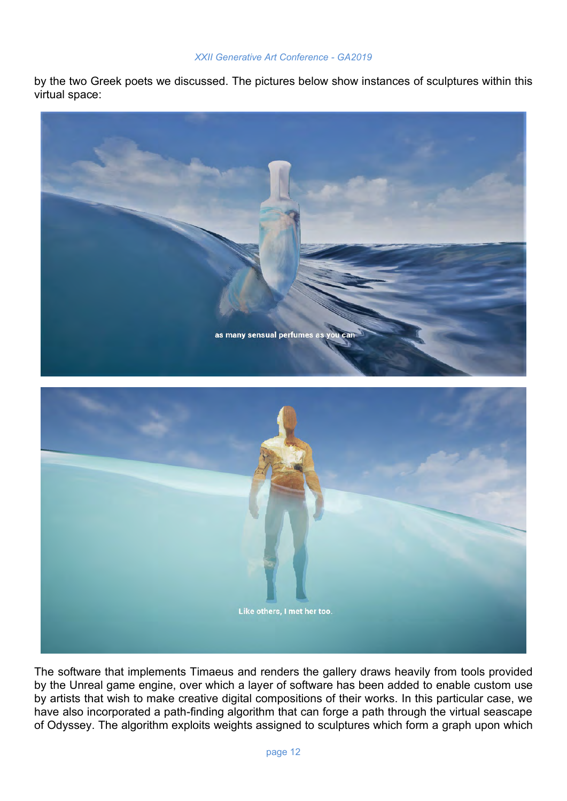by the two Greek poets we discussed. The pictures below show instances of sculptures within this virtual space:



The software that implements Timaeus and renders the gallery draws heavily from tools provided by the Unreal game engine, over which a layer of software has been added to enable custom use by artists that wish to make creative digital compositions of their works. In this particular case, we have also incorporated a path-finding algorithm that can forge a path through the virtual seascape of Odyssey. The algorithm exploits weights assigned to sculptures which form a graph upon which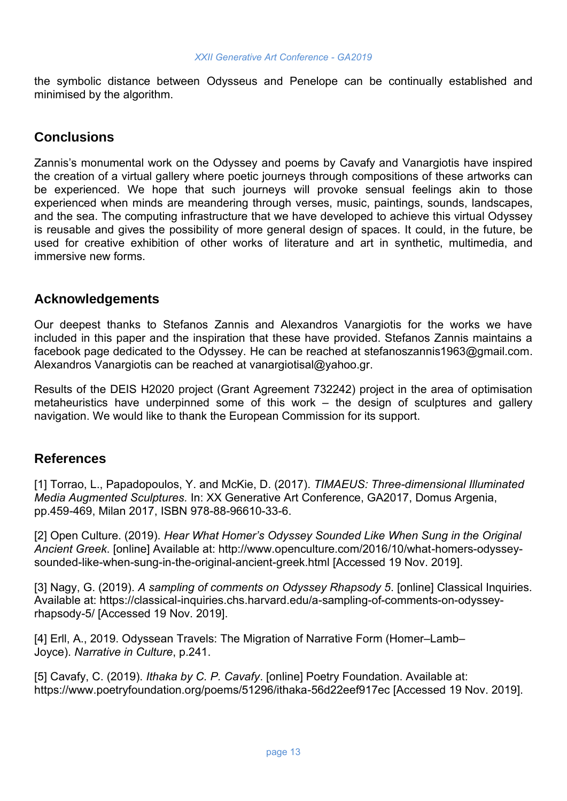the symbolic distance between Odysseus and Penelope can be continually established and minimised by the algorithm.

## **Conclusions**

Zannis's monumental work on the Odyssey and poems by Cavafy and Vanargiotis have inspired the creation of a virtual gallery where poetic journeys through compositions of these artworks can be experienced. We hope that such journeys will provoke sensual feelings akin to those experienced when minds are meandering through verses, music, paintings, sounds, landscapes, and the sea. The computing infrastructure that we have developed to achieve this virtual Odyssey is reusable and gives the possibility of more general design of spaces. It could, in the future, be used for creative exhibition of other works of literature and art in synthetic, multimedia, and immersive new forms.

## **Acknowledgements**

Our deepest thanks to Stefanos Zannis and Alexandros Vanargiotis for the works we have included in this paper and the inspiration that these have provided. Stefanos Zannis maintains a facebook page dedicated to the Odyssey. He can be reached at stefanoszannis1963@gmail.com. Alexandros Vanargiotis can be reached at vanargiotisal@yahoo.gr.

Results of the DEIS H2020 project (Grant Agreement 732242) project in the area of optimisation metaheuristics have underpinned some of this work – the design of sculptures and gallery navigation. We would like to thank the European Commission for its support.

## **References**

[1] Torrao, L., Papadopoulos, Y. and McKie, D. (2017). *TIMAEUS: Three-dimensional Illuminated Media Augmented Sculptures.* In: XX Generative Art Conference, GA2017, Domus Argenia, pp.459-469, Milan 2017, ISBN 978-88-96610-33-6.

[2] Open Culture. (2019). *Hear What Homer's Odyssey Sounded Like When Sung in the Original Ancient Greek*. [online] Available at: http://www.openculture.com/2016/10/what-homers-odysseysounded-like-when-sung-in-the-original-ancient-greek.html [Accessed 19 Nov. 2019].

[3] Nagy, G. (2019). *A sampling of comments on Odyssey Rhapsody 5*. [online] Classical Inquiries. Available at: https://classical-inquiries.chs.harvard.edu/a-sampling-of-comments-on-odysseyrhapsody-5/ [Accessed 19 Nov. 2019].

[4] Erll, A., 2019. Odyssean Travels: The Migration of Narrative Form (Homer–Lamb– Joyce). *Narrative in Culture*, p.241.

[5] Cavafy, C. (2019). *Ithaka by C. P. Cavafy*. [online] Poetry Foundation. Available at: https://www.poetryfoundation.org/poems/51296/ithaka-56d22eef917ec [Accessed 19 Nov. 2019].